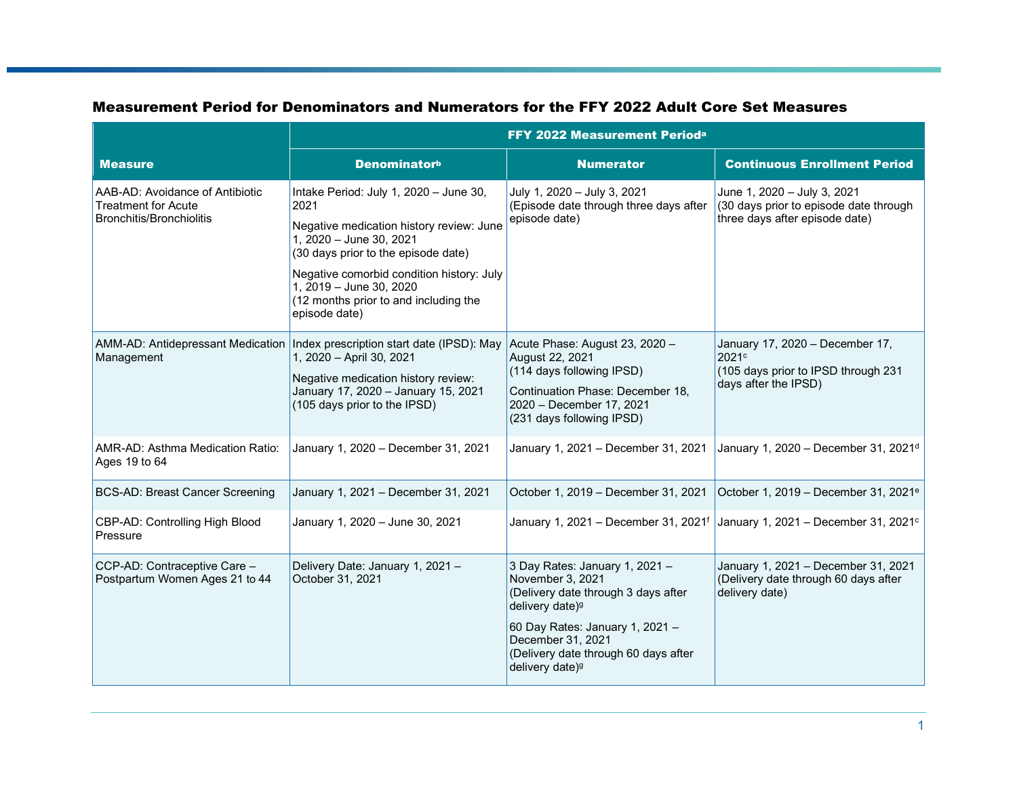|                                                                                                  | FFY 2022 Measurement Perioda                                                                                                                                                                                                                                                                   |                                                                                                                                                                                                                                                         |                                                                                                         |
|--------------------------------------------------------------------------------------------------|------------------------------------------------------------------------------------------------------------------------------------------------------------------------------------------------------------------------------------------------------------------------------------------------|---------------------------------------------------------------------------------------------------------------------------------------------------------------------------------------------------------------------------------------------------------|---------------------------------------------------------------------------------------------------------|
| <b>Measure</b>                                                                                   | <b>Denominatorb</b>                                                                                                                                                                                                                                                                            | <b>Numerator</b>                                                                                                                                                                                                                                        | <b>Continuous Enrollment Period</b>                                                                     |
| AAB-AD: Avoidance of Antibiotic<br><b>Treatment for Acute</b><br><b>Bronchitis/Bronchiolitis</b> | Intake Period: July 1, 2020 - June 30,<br>2021<br>Negative medication history review: June<br>1, 2020 - June 30, 2021<br>(30 days prior to the episode date)<br>Negative comorbid condition history: July<br>1, 2019 - June 30, 2020<br>(12 months prior to and including the<br>episode date) | July 1, 2020 - July 3, 2021<br>(Episode date through three days after<br>episode date)                                                                                                                                                                  | June 1, 2020 - July 3, 2021<br>(30 days prior to episode date through<br>three days after episode date) |
| Management                                                                                       | AMM-AD: Antidepressant Medication   Index prescription start date (IPSD): May<br>1, 2020 - April 30, 2021<br>Negative medication history review:<br>January 17, 2020 - January 15, 2021<br>(105 days prior to the IPSD)                                                                        | Acute Phase: August 23, 2020 -<br>August 22, 2021<br>(114 days following IPSD)<br>Continuation Phase: December 18,<br>2020 - December 17, 2021<br>(231 days following IPSD)                                                                             | January 17, 2020 - December 17,<br>2021c<br>(105 days prior to IPSD through 231<br>days after the IPSD) |
| AMR-AD: Asthma Medication Ratio:<br>Ages 19 to 64                                                | January 1, 2020 - December 31, 2021                                                                                                                                                                                                                                                            | January 1, 2021 - December 31, 2021                                                                                                                                                                                                                     | January 1, 2020 - December 31, 2021 <sup>d</sup>                                                        |
| <b>BCS-AD: Breast Cancer Screening</b>                                                           | January 1, 2021 - December 31, 2021                                                                                                                                                                                                                                                            | October 1, 2019 - December 31, 2021                                                                                                                                                                                                                     | October 1, 2019 - December 31, 2021 <sup>e</sup>                                                        |
| CBP-AD: Controlling High Blood<br>Pressure                                                       | January 1, 2020 - June 30, 2021                                                                                                                                                                                                                                                                | January 1, 2021 - December 31, 2021f                                                                                                                                                                                                                    | January 1, 2021 - December 31, 2021 $\circ$                                                             |
| CCP-AD: Contraceptive Care -<br>Postpartum Women Ages 21 to 44                                   | Delivery Date: January 1, 2021 -<br>October 31, 2021                                                                                                                                                                                                                                           | 3 Day Rates: January 1, 2021 -<br>November 3, 2021<br>(Delivery date through 3 days after<br>delivery date) <sup>g</sup><br>60 Day Rates: January 1, 2021 -<br>December 31, 2021<br>(Delivery date through 60 days after<br>delivery date) <sup>g</sup> | January 1, 2021 - December 31, 2021<br>(Delivery date through 60 days after<br>delivery date)           |

## Measurement Period for Denominators and Numerators for the FFY 2022 Adult Core Set Measures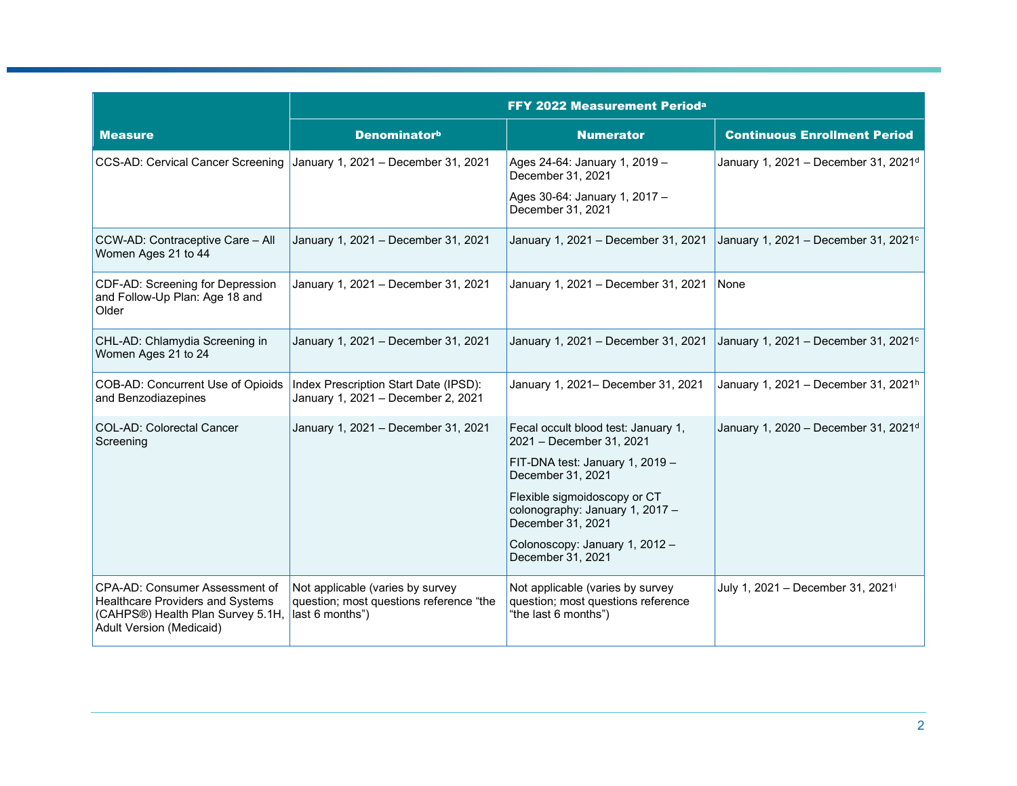|                                                                                                                                                                    | <b>FFY 2022 Measurement Perioda</b>                                         |                                                                                                |                                                  |
|--------------------------------------------------------------------------------------------------------------------------------------------------------------------|-----------------------------------------------------------------------------|------------------------------------------------------------------------------------------------|--------------------------------------------------|
| <b>Measure</b>                                                                                                                                                     | <b>Denominatorb</b>                                                         | <b>Numerator</b>                                                                               | <b>Continuous Enrollment Period</b>              |
| CCS-AD: Cervical Cancer Screening                                                                                                                                  | January 1, 2021 - December 31, 2021                                         | Ages 24-64: January 1, 2019 -<br>December 31, 2021                                             | January 1, 2021 - December 31, 2021 <sup>d</sup> |
|                                                                                                                                                                    |                                                                             | Ages 30-64: January 1, 2017 -<br>December 31, 2021                                             |                                                  |
| CCW-AD: Contraceptive Care - All<br>Women Ages 21 to 44                                                                                                            | January 1, 2021 - December 31, 2021                                         | January 1, 2021 - December 31, 2021                                                            | January 1, 2021 - December 31, 2021 <sup>c</sup> |
| CDF-AD: Screening for Depression<br>and Follow-Up Plan: Age 18 and<br>Older                                                                                        | January 1, 2021 - December 31, 2021                                         | January 1, 2021 - December 31, 2021                                                            | None                                             |
| CHL-AD: Chlamydia Screening in<br>Women Ages 21 to 24                                                                                                              | January 1, 2021 - December 31, 2021                                         | January 1, 2021 - December 31, 2021                                                            | January 1, 2021 - December 31, 2021 <sup>c</sup> |
| COB-AD: Concurrent Use of Opioids<br>and Benzodiazepines                                                                                                           | Index Prescription Start Date (IPSD):<br>January 1, 2021 - December 2, 2021 | January 1, 2021- December 31, 2021                                                             | January 1, 2021 - December 31, 2021h             |
| COL-AD: Colorectal Cancer<br>Screening                                                                                                                             | January 1, 2021 - December 31, 2021                                         | Fecal occult blood test: January 1,<br>2021 - December 31, 2021                                | January 1, 2020 - December 31, 2021 <sup>d</sup> |
|                                                                                                                                                                    |                                                                             | FIT-DNA test: January 1, 2019 -<br>December 31, 2021                                           |                                                  |
|                                                                                                                                                                    |                                                                             | Flexible sigmoidoscopy or CT<br>colonography: January 1, 2017 -<br>December 31, 2021           |                                                  |
|                                                                                                                                                                    |                                                                             | Colonoscopy: January 1, 2012 -<br>December 31, 2021                                            |                                                  |
| CPA-AD: Consumer Assessment of<br><b>Healthcare Providers and Systems</b><br>(CAHPS®) Health Plan Survey 5.1H,  last 6 months")<br><b>Adult Version (Medicaid)</b> | Not applicable (varies by survey<br>question; most questions reference "the | Not applicable (varies by survey<br>question; most questions reference<br>"the last 6 months") | July 1, 2021 - December 31, 2021 <sup>i</sup>    |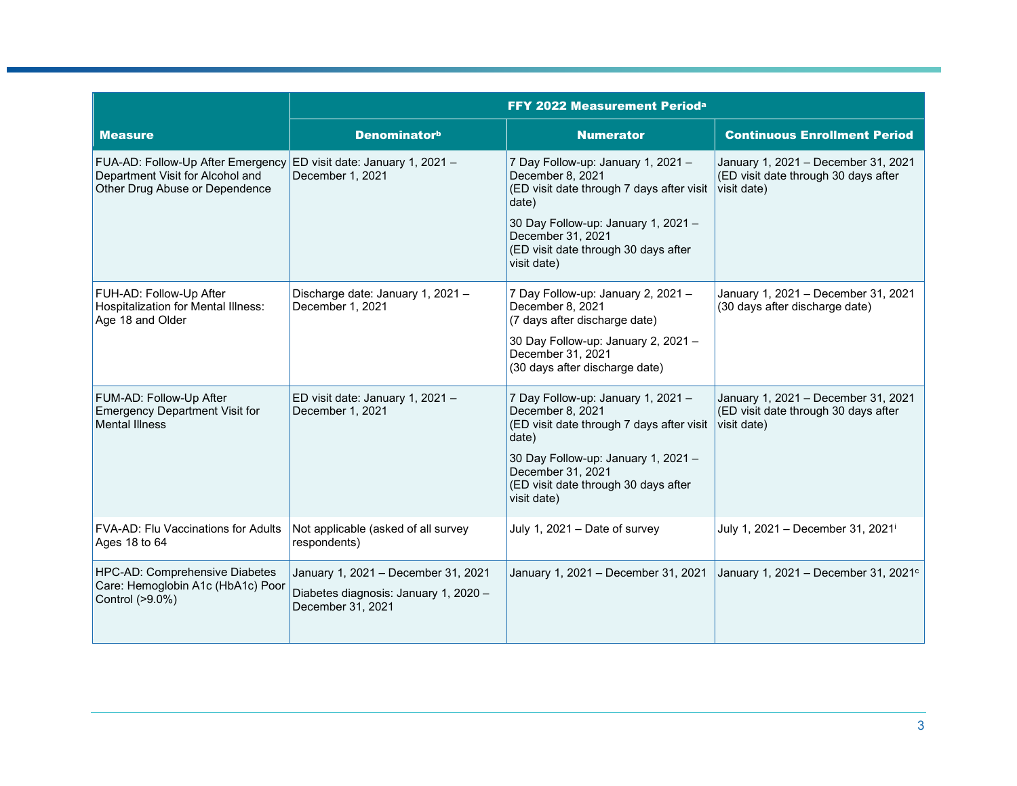|                                                                                                         | FFY 2022 Measurement Perioda                                                                      |                                                                                                                                                                                                                                 |                                                                                            |
|---------------------------------------------------------------------------------------------------------|---------------------------------------------------------------------------------------------------|---------------------------------------------------------------------------------------------------------------------------------------------------------------------------------------------------------------------------------|--------------------------------------------------------------------------------------------|
| <b>Measure</b>                                                                                          | <b>Denominatorb</b>                                                                               | <b>Numerator</b>                                                                                                                                                                                                                | <b>Continuous Enrollment Period</b>                                                        |
| FUA-AD: Follow-Up After Emergency<br>Department Visit for Alcohol and<br>Other Drug Abuse or Dependence | ED visit date: January 1, 2021 -<br>December 1, 2021                                              | 7 Day Follow-up: January 1, 2021 -<br>December 8, 2021<br>(ED visit date through 7 days after visit<br>date)<br>30 Day Follow-up: January 1, 2021 -<br>December 31, 2021<br>(ED visit date through 30 days after<br>visit date) | January 1, 2021 - December 31, 2021<br>(ED visit date through 30 days after<br>visit date) |
| FUH-AD: Follow-Up After<br><b>Hospitalization for Mental Illness:</b><br>Age 18 and Older               | Discharge date: January 1, 2021 -<br>December 1, 2021                                             | 7 Day Follow-up: January 2, 2021 -<br>December 8, 2021<br>(7 days after discharge date)<br>30 Day Follow-up: January 2, 2021 -<br>December 31, 2021<br>(30 days after discharge date)                                           | January 1, 2021 - December 31, 2021<br>(30 days after discharge date)                      |
| FUM-AD: Follow-Up After<br><b>Emergency Department Visit for</b><br><b>Mental Illness</b>               | ED visit date: January 1, 2021 -<br>December 1, 2021                                              | 7 Day Follow-up: January 1, 2021 -<br>December 8, 2021<br>(ED visit date through 7 days after visit<br>date)<br>30 Day Follow-up: January 1, 2021 -<br>December 31, 2021<br>(ED visit date through 30 days after<br>visit date) | January 1, 2021 - December 31, 2021<br>(ED visit date through 30 days after<br>visit date) |
| FVA-AD: Flu Vaccinations for Adults<br>Ages 18 to 64                                                    | Not applicable (asked of all survey<br>respondents)                                               | July 1, 2021 - Date of survey                                                                                                                                                                                                   | July 1, 2021 - December 31, 2021 <sup>i</sup>                                              |
| HPC-AD: Comprehensive Diabetes<br>Care: Hemoglobin A1c (HbA1c) Poor<br>Control (>9.0%)                  | January 1, 2021 - December 31, 2021<br>Diabetes diagnosis: January 1, 2020 -<br>December 31, 2021 | January 1, 2021 - December 31, 2021                                                                                                                                                                                             | January 1, 2021 - December 31, 2021 <sup>c</sup>                                           |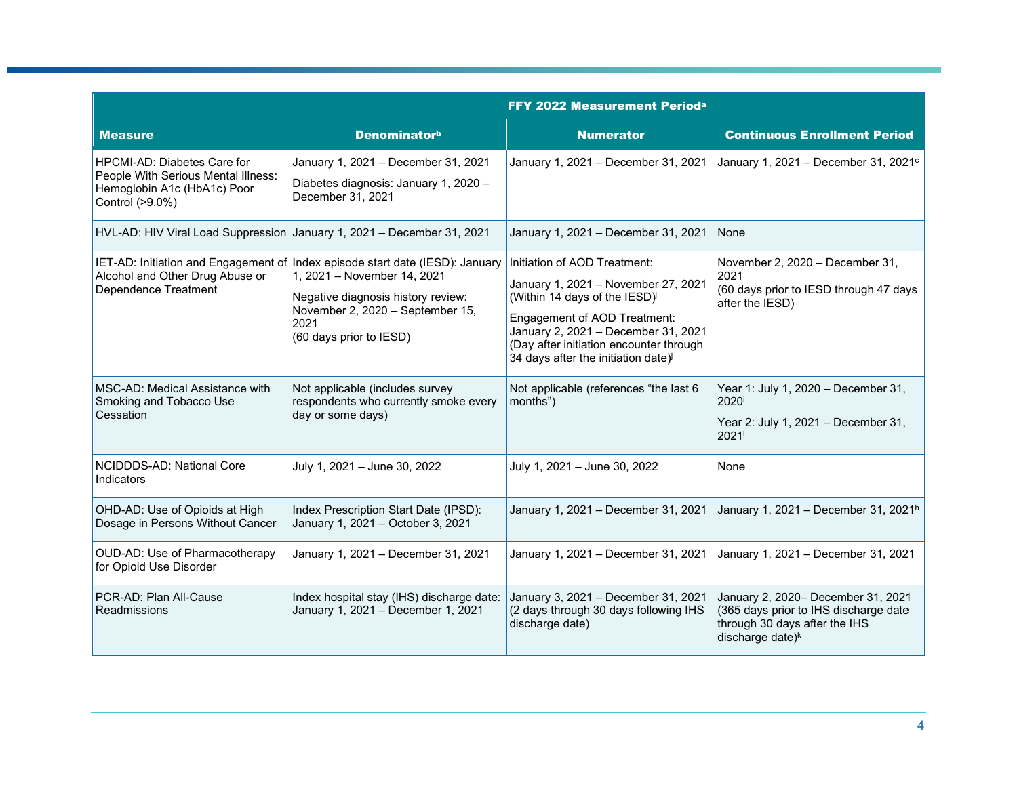|                                                                                                                             | FFY 2022 Measurement Perioda                                                                                                                                                                                              |                                                                                                                                                                                                                                                                          |                                                                                                                                              |
|-----------------------------------------------------------------------------------------------------------------------------|---------------------------------------------------------------------------------------------------------------------------------------------------------------------------------------------------------------------------|--------------------------------------------------------------------------------------------------------------------------------------------------------------------------------------------------------------------------------------------------------------------------|----------------------------------------------------------------------------------------------------------------------------------------------|
| <b>Measure</b>                                                                                                              | <b>Denominatorb</b>                                                                                                                                                                                                       | <b>Numerator</b>                                                                                                                                                                                                                                                         | <b>Continuous Enrollment Period</b>                                                                                                          |
| <b>HPCMI-AD: Diabetes Care for</b><br>People With Serious Mental Illness:<br>Hemoglobin A1c (HbA1c) Poor<br>Control (>9.0%) | January 1, 2021 - December 31, 2021<br>Diabetes diagnosis: January 1, 2020 -<br>December 31, 2021                                                                                                                         | January 1, 2021 - December 31, 2021                                                                                                                                                                                                                                      | January 1, 2021 - December 31, 2021 <sup>c</sup>                                                                                             |
|                                                                                                                             | HVL-AD: HIV Viral Load Suppression January 1, 2021 - December 31, 2021                                                                                                                                                    | January 1, 2021 - December 31, 2021                                                                                                                                                                                                                                      | None                                                                                                                                         |
| Alcohol and Other Drug Abuse or<br>Dependence Treatment                                                                     | IET-AD: Initiation and Engagement of Index episode start date (IESD): January<br>1, 2021 - November 14, 2021<br>Negative diagnosis history review:<br>November 2, 2020 - September 15,<br>2021<br>(60 days prior to IESD) | Initiation of AOD Treatment:<br>January 1, 2021 - November 27, 2021<br>(Within 14 days of the IESD)<br>Engagement of AOD Treatment:<br>January 2, 2021 - December 31, 2021<br>(Day after initiation encounter through<br>34 days after the initiation date) <sup>j</sup> | November 2, 2020 - December 31,<br>2021<br>(60 days prior to IESD through 47 days<br>after the IESD)                                         |
| MSC-AD: Medical Assistance with<br>Smoking and Tobacco Use<br>Cessation                                                     | Not applicable (includes survey<br>respondents who currently smoke every<br>day or some days)                                                                                                                             | Not applicable (references "the last 6<br>months")                                                                                                                                                                                                                       | Year 1: July 1, 2020 - December 31,<br>2020 <sup>i</sup><br>Year 2: July 1, 2021 - December 31,<br>2021 <sup>i</sup>                         |
| NCIDDDS-AD: National Core<br>Indicators                                                                                     | July 1, 2021 - June 30, 2022                                                                                                                                                                                              | July 1, 2021 - June 30, 2022                                                                                                                                                                                                                                             | None                                                                                                                                         |
| OHD-AD: Use of Opioids at High<br>Dosage in Persons Without Cancer                                                          | Index Prescription Start Date (IPSD):<br>January 1, 2021 - October 3, 2021                                                                                                                                                | January 1, 2021 - December 31, 2021                                                                                                                                                                                                                                      | January 1, 2021 - December 31, 2021 <sup>h</sup>                                                                                             |
| OUD-AD: Use of Pharmacotherapy<br>for Opioid Use Disorder                                                                   | January 1, 2021 - December 31, 2021                                                                                                                                                                                       | January 1, 2021 - December 31, 2021                                                                                                                                                                                                                                      | January 1, 2021 - December 31, 2021                                                                                                          |
| PCR-AD: Plan All-Cause<br><b>Readmissions</b>                                                                               | Index hospital stay (IHS) discharge date:<br>January 1, 2021 - December 1, 2021                                                                                                                                           | January 3, 2021 - December 31, 2021<br>(2 days through 30 days following IHS<br>discharge date)                                                                                                                                                                          | January 2, 2020- December 31, 2021<br>(365 days prior to IHS discharge date<br>through 30 days after the IHS<br>discharge date) <sup>k</sup> |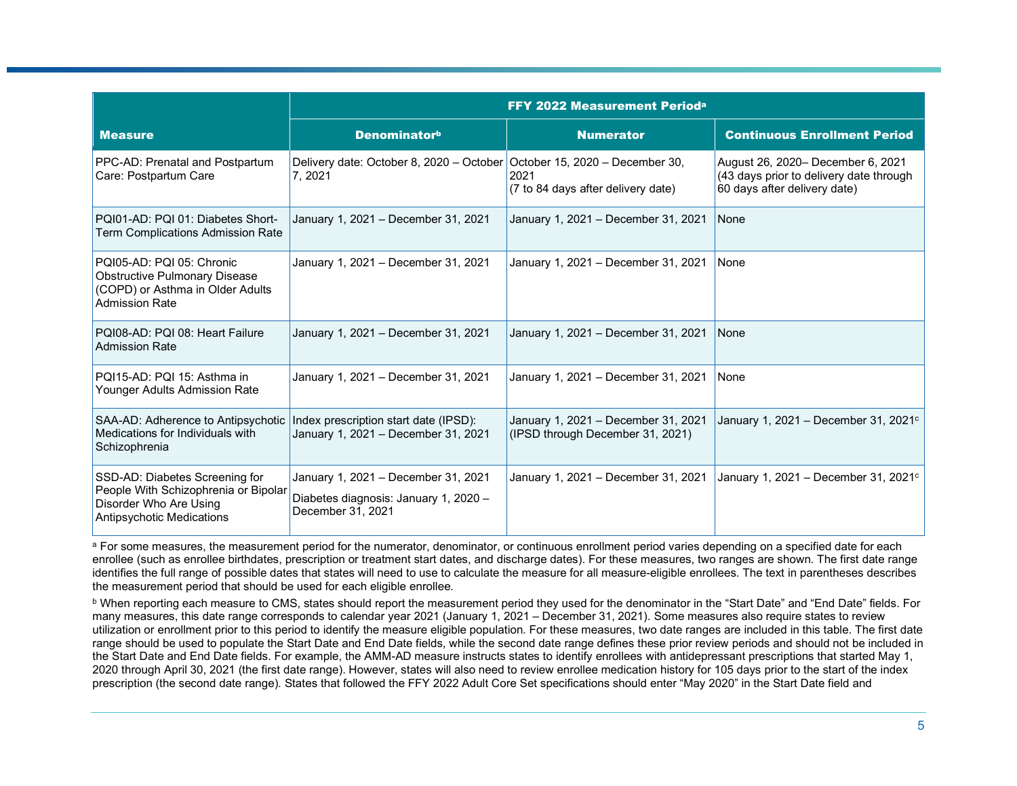|                                                                                                                                | <b>FFY 2022 Measurement Perioda</b>                                                               |                                                                         |                                                                                                              |
|--------------------------------------------------------------------------------------------------------------------------------|---------------------------------------------------------------------------------------------------|-------------------------------------------------------------------------|--------------------------------------------------------------------------------------------------------------|
| <b>Measure</b>                                                                                                                 | <b>Denominatorb</b>                                                                               | <b>Numerator</b>                                                        | <b>Continuous Enrollment Period</b>                                                                          |
| PPC-AD: Prenatal and Postpartum<br>Care: Postpartum Care                                                                       | Delivery date: October 8, 2020 – October   October 15, 2020 – December 30,<br>7, 2021             | 2021<br>$(7$ to 84 days after delivery date)                            | August 26, 2020- December 6, 2021<br>(43 days prior to delivery date through<br>60 days after delivery date) |
| PQI01-AD: PQI 01: Diabetes Short-<br>Term Complications Admission Rate                                                         | January 1, 2021 - December 31, 2021                                                               | January 1, 2021 - December 31, 2021                                     | None                                                                                                         |
| PQI05-AD: PQI 05: Chronic<br><b>Obstructive Pulmonary Disease</b><br>(COPD) or Asthma in Older Adults<br><b>Admission Rate</b> | January 1, 2021 - December 31, 2021                                                               | January 1, 2021 - December 31, 2021                                     | None                                                                                                         |
| PQI08-AD: PQI 08: Heart Failure<br><b>Admission Rate</b>                                                                       | January 1, 2021 - December 31, 2021                                                               | January 1, 2021 - December 31, 2021                                     | None                                                                                                         |
| PQI15-AD: PQI 15: Asthma in<br>Younger Adults Admission Rate                                                                   | January 1, 2021 - December 31, 2021                                                               | January 1, 2021 - December 31, 2021                                     | None                                                                                                         |
| SAA-AD: Adherence to Antipsychotic<br>Medications for Individuals with<br>Schizophrenia                                        | Index prescription start date (IPSD):<br>January 1, 2021 - December 31, 2021                      | January 1, 2021 - December 31, 2021<br>(IPSD through December 31, 2021) | January 1, 2021 – December 31, 2021 $\circ$                                                                  |
| SSD-AD: Diabetes Screening for<br>People With Schizophrenia or Bipolar<br>Disorder Who Are Using<br>Antipsychotic Medications  | January 1, 2021 - December 31, 2021<br>Diabetes diagnosis: January 1, 2020 -<br>December 31, 2021 | January 1, 2021 - December 31, 2021                                     | January 1, 2021 - December 31, 2021 $\circ$                                                                  |

a For some measures, the measurement period for the numerator, denominator, or continuous enrollment period varies depending on a specified date for each enrollee (such as enrollee birthdates, prescription or treatment start dates, and discharge dates). For these measures, two ranges are shown. The first date range identifies the full range of possible dates that states will need to use to calculate the measure for all measure-eligible enrollees. The text in parentheses describes the measurement period that should be used for each eligible enrollee.

b When reporting each measure to CMS, states should report the measurement period they used for the denominator in the "Start Date" and "End Date" fields. For many measures, this date range corresponds to calendar year 2021 (January 1, 2021 – December 31, 2021). Some measures also require states to review utilization or enrollment prior to this period to identify the measure eligible population. For these measures, two date ranges are included in this table. The first date range should be used to populate the Start Date and End Date fields, while the second date range defines these prior review periods and should not be included in the Start Date and End Date fields. For example, the AMM-AD measure instructs states to identify enrollees with antidepressant prescriptions that started May 1, 2020 through April 30, 2021 (the first date range). However, states will also need to review enrollee medication history for 105 days prior to the start of the index prescription (the second date range). States that followed the FFY 2022 Adult Core Set specifications should enter "May 2020" in the Start Date field and